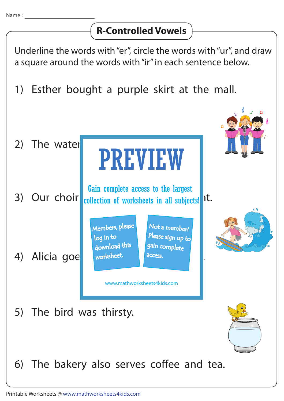## **R-Controlled Vowels**

Underline the words with "er", circle the words with "ur", and draw a square around the words with "ir" in each sentence below.

1) Esther bought a purple skirt at the mall.